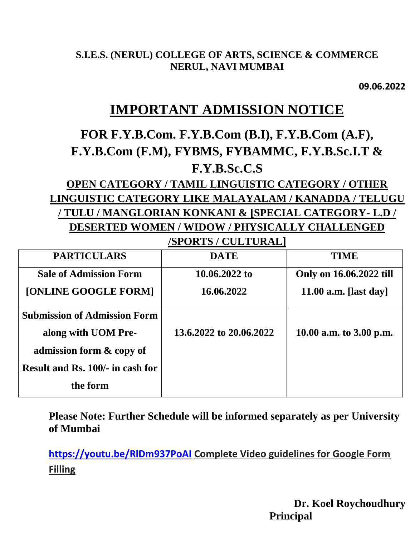#### **S.I.E.S. (NERUL) COLLEGE OF ARTS, SCIENCE & COMMERCE NERUL, NAVI MUMBAI**

**09.06.2022**

## **IMPORTANT ADMISSION NOTICE**

# **FOR F.Y.B.Com. F.Y.B.Com (B.I), F.Y.B.Com (A.F), F.Y.B.Com (F.M), FYBMS, FYBAMMC, F.Y.B.Sc.I.T & F.Y.B.Sc.C.S**

### **OPEN CATEGORY / TAMIL LINGUISTIC CATEGORY / OTHER LINGUISTIC CATEGORY LIKE MALAYALAM / KANADDA / TELUGU / TULU / MANGLORIAN KONKANI & [SPECIAL CATEGORY- L.D / DESERTED WOMEN / WIDOW / PHYSICALLY CHALLENGED /SPORTS / CULTURAL]**

| <b>PARTICULARS</b>                  | <b>DATE</b>             | <b>TIME</b>             |
|-------------------------------------|-------------------------|-------------------------|
| <b>Sale of Admission Form</b>       | 10.06.2022 to           | Only on 16.06.2022 till |
| [ONLINE GOOGLE FORM]                | 16.06.2022              | 11.00 a.m. [last day]   |
| <b>Submission of Admission Form</b> |                         |                         |
| along with UOM Pre-                 | 13.6.2022 to 20.06.2022 | 10.00 a.m. to 3.00 p.m. |
| admission form & copy of            |                         |                         |
| Result and Rs. 100/- in cash for    |                         |                         |
| the form                            |                         |                         |

**Please Note: Further Schedule will be informed separately as per University of Mumbai**

**[https://youtu.be/RlDm937PoAI](https://apc01.safelinks.protection.outlook.com/?url=https%3A%2F%2Fyoutu.be%2FRlDm937PoAI&data=05%7C01%7Cpriyav%40sies.edu.in%7C7b39ed1aef4641fd4f5108da4a9c4f78%7C405ddc34d66046e5b52dbfd0be156bb5%7C0%7C0%7C637904332449674314%7CUnknown%7CTWFpbGZsb3d8eyJWIjoiMC4wLjAwMDAiLCJQIjoiV2luMzIiLCJBTiI6Ik1haWwiLCJXVCI6Mn0%3D%7C3000%7C%7C%7C&sdata=WfyNM8WV0PMRUWrwrO8b2unhNLTShWH%2BK1ab1C4gDrc%3D&reserved=0) Complete Video guidelines for Google Form Filling** 

> **Dr. Koel Roychoudhury Principal**